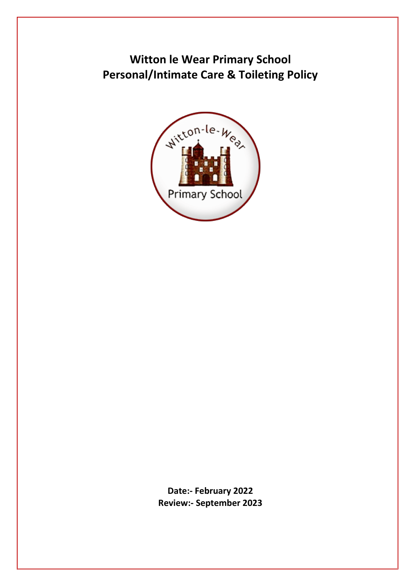**Witton le Wear Primary School Personal/Intimate Care & Toileting Policy**



**Date:- February 2022 Review:- September 2023**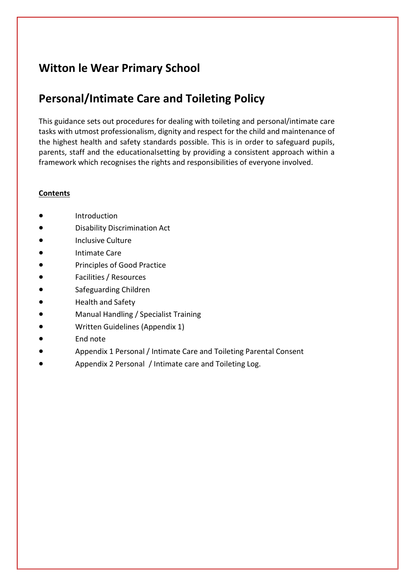# **Witton le Wear Primary School**

# **Personal/Intimate Care and Toileting Policy**

This guidance sets out procedures for dealing with toileting and personal/intimate care tasks with utmost professionalism, dignity and respect for the child and maintenance of the highest health and safety standards possible. This is in order to safeguard pupils, parents, staff and the educationalsetting by providing a consistent approach within a framework which recognises the rights and responsibilities of everyone involved.

# **Contents**

- **Introduction**
- Disability Discrimination Act
- Inclusive Culture
- Intimate Care
- Principles of Good Practice
- Facilities / Resources
- Safeguarding Children
- Health and Safety
- Manual Handling / Specialist Training
- Written Guidelines (Appendix 1)
- End note
- Appendix 1 Personal / Intimate Care and Toileting Parental Consent
- Appendix 2 Personal / Intimate care and Toileting Log.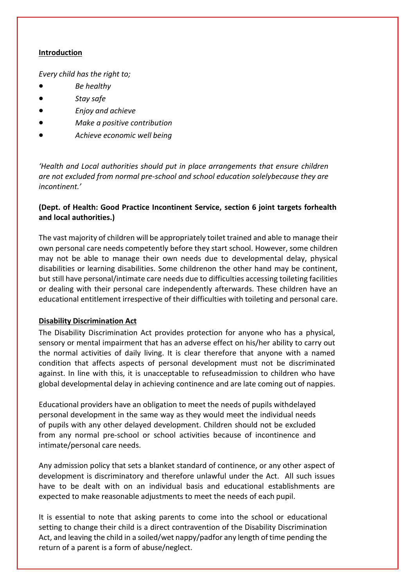#### **Introduction**

*Every child has the right to;*

- *Be healthy*
- *Stay safe*
- *Enjoy and achieve*
- *Make a positive contribution*
- *Achieve economic well being*

*'Health and Local authorities should put in place arrangements that ensure children are not excluded from normal pre-school and school education solelybecause they are incontinent.'*

# **(Dept. of Health: Good Practice Incontinent Service, section 6 joint targets forhealth and local authorities.)**

The vast majority of children will be appropriately toilet trained and able to manage their own personal care needs competently before they start school. However, some children may not be able to manage their own needs due to developmental delay, physical disabilities or learning disabilities. Some childrenon the other hand may be continent, but still have personal/intimate care needs due to difficulties accessing toileting facilities or dealing with their personal care independently afterwards. These children have an educational entitlement irrespective of their difficulties with toileting and personal care.

# **Disability Discrimination Act**

The Disability Discrimination Act provides protection for anyone who has a physical, sensory or mental impairment that has an adverse effect on his/her ability to carry out the normal activities of daily living. It is clear therefore that anyone with a named condition that affects aspects of personal development must not be discriminated against. In line with this, it is unacceptable to refuseadmission to children who have global developmental delay in achieving continence and are late coming out of nappies.

Educational providers have an obligation to meet the needs of pupils withdelayed personal development in the same way as they would meet the individual needs of pupils with any other delayed development. Children should not be excluded from any normal pre-school or school activities because of incontinence and intimate/personal care needs.

Any admission policy that sets a blanket standard of continence, or any other aspect of development is discriminatory and therefore unlawful under the Act. All such issues have to be dealt with on an individual basis and educational establishments are expected to make reasonable adjustments to meet the needs of each pupil.

It is essential to note that asking parents to come into the school or educational setting to change their child is a direct contravention of the Disability Discrimination Act, and leaving the child in a soiled/wet nappy/padfor any length of time pending the return of a parent is a form of abuse/neglect.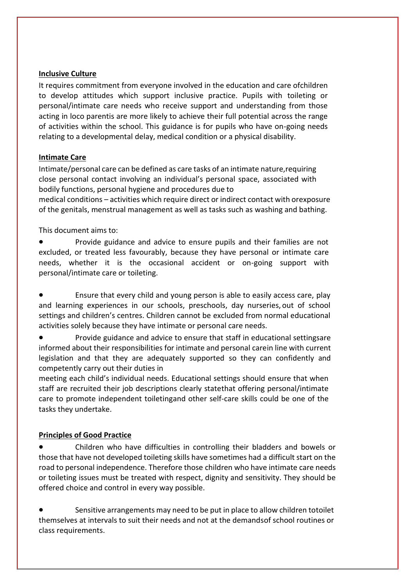#### **Inclusive Culture**

It requires commitment from everyone involved in the education and care ofchildren to develop attitudes which support inclusive practice. Pupils with toileting or personal/intimate care needs who receive support and understanding from those acting in loco parentis are more likely to achieve their full potential across the range of activities within the school. This guidance is for pupils who have on-going needs relating to a developmental delay, medical condition or a physical disability.

# **Intimate Care**

Intimate/personal care can be defined as care tasks of an intimate nature,requiring close personal contact involving an individual's personal space, associated with bodily functions, personal hygiene and procedures due to

medical conditions – activities which require direct or indirect contact with orexposure of the genitals, menstrual management as well as tasks such as washing and bathing.

This document aims to:

• Provide guidance and advice to ensure pupils and their families are not excluded, or treated less favourably, because they have personal or intimate care needs, whether it is the occasional accident or on-going support with personal/intimate care or toileting.

• Ensure that every child and young person is able to easily access care, play and learning experiences in our schools, preschools, day nurseries, out of school settings and children's centres. Children cannot be excluded from normal educational activities solely because they have intimate or personal care needs.

• Provide guidance and advice to ensure that staff in educational settingsare informed about their responsibilities for intimate and personal carein line with current legislation and that they are adequately supported so they can confidently and competently carry out their duties in

meeting each child's individual needs. Educational settings should ensure that when staff are recruited their job descriptions clearly statethat offering personal/intimate care to promote independent toiletingand other self-care skills could be one of the tasks they undertake.

# **Principles of Good Practice**

• Children who have difficulties in controlling their bladders and bowels or those that have not developed toileting skills have sometimes had a difficult start on the road to personal independence. Therefore those children who have intimate care needs or toileting issues must be treated with respect, dignity and sensitivity. They should be offered choice and control in every way possible.

• Sensitive arrangements may need to be put in place to allow children totoilet themselves at intervals to suit their needs and not at the demandsof school routines or class requirements.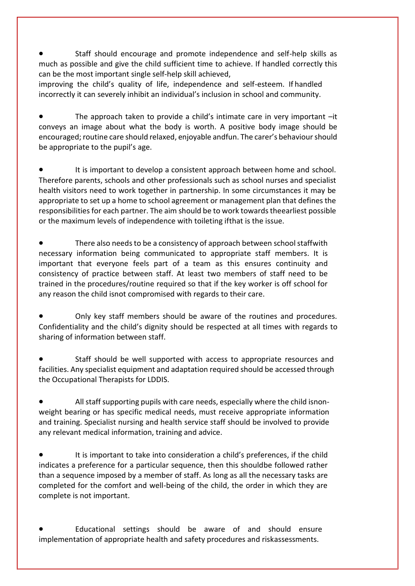• Staff should encourage and promote independence and self-help skills as much as possible and give the child sufficient time to achieve. If handled correctly this can be the most important single self-help skill achieved,

improving the child's quality of life, independence and self-esteem. If handled incorrectly it can severely inhibit an individual's inclusion in school and community.

The approach taken to provide a child's intimate care in very important  $-it$ conveys an image about what the body is worth. A positive body image should be encouraged; routine care should relaxed, enjoyable andfun. The carer's behaviourshould be appropriate to the pupil's age.

It is important to develop a consistent approach between home and school. Therefore parents, schools and other professionals such as school nurses and specialist health visitors need to work together in partnership. In some circumstances it may be appropriate to set up a home to school agreement or management plan that defines the responsibilities for each partner. The aim should be to work towards theearliest possible or the maximum levels of independence with toileting ifthat is the issue.

There also needs to be a consistency of approach between school staffwith necessary information being communicated to appropriate staff members. It is important that everyone feels part of a team as this ensures continuity and consistency of practice between staff. At least two members of staff need to be trained in the procedures/routine required so that if the key worker is off school for any reason the child isnot compromised with regards to their care.

• Only key staff members should be aware of the routines and procedures. Confidentiality and the child's dignity should be respected at all times with regards to sharing of information between staff.

• Staff should be well supported with access to appropriate resources and facilities. Any specialist equipment and adaptation required should be accessed through the Occupational Therapists for LDDIS.

• All staff supporting pupils with care needs, especially where the child isnonweight bearing or has specific medical needs, must receive appropriate information and training. Specialist nursing and health service staff should be involved to provide any relevant medical information, training and advice.

It is important to take into consideration a child's preferences, if the child indicates a preference for a particular sequence, then this shouldbe followed rather than a sequence imposed by a member of staff. As long as all the necessary tasks are completed for the comfort and well-being of the child, the order in which they are complete is not important.

• Educational settings should be aware of and should ensure implementation of appropriate health and safety procedures and riskassessments.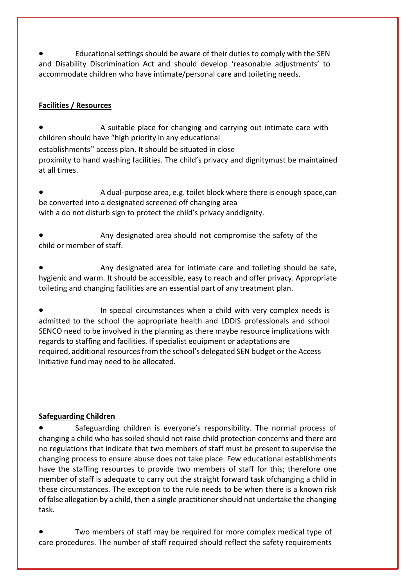• Educational settings should be aware of their duties to comply with the SEN and Disability Discrimination Act and should develop 'reasonable adjustments' to accommodate children who have intimate/personal care and toileting needs.

# **Facilities / Resources**

• A suitable place for changing and carrying out intimate care with children should have "high priority in any educational establishments'' access plan. It should be situated in close proximity to hand washing facilities. The child's privacy and dignitymust be maintained at all times.

• A dual-purpose area, e.g. toilet block where there is enough space,can be converted into a designated screened off changing area with a do not disturb sign to protect the child's privacy anddignity.

• Any designated area should not compromise the safety of the child or member of staff.

• Any designated area for intimate care and toileting should be safe, hygienic and warm. It should be accessible, easy to reach and offer privacy. Appropriate toileting and changing facilities are an essential part of any treatment plan.

• In special circumstances when a child with very complex needs is admitted to the school the appropriate health and LDDIS professionals and school SENCO need to be involved in the planning as there maybe resource implications with regards to staffing and facilities. If specialist equipment or adaptations are required, additional resources from the school's delegated SEN budget orthe Access Initiative fund may need to be allocated.

# **Safeguarding Children**

• Safeguarding children is everyone's responsibility. The normal process of changing a child who has soiled should not raise child protection concerns and there are no regulations that indicate that two members of staff must be present to supervise the changing process to ensure abuse does not take place. Few educational establishments have the staffing resources to provide two members of staff for this; therefore one member of staff is adequate to carry out the straight forward task ofchanging a child in these circumstances. The exception to the rule needs to be when there is a known risk of false allegation by a child, then a single practitioner should not undertake the changing task.

• Two members of staff may be required for more complex medical type of care procedures. The number of staff required should reflect the safety requirements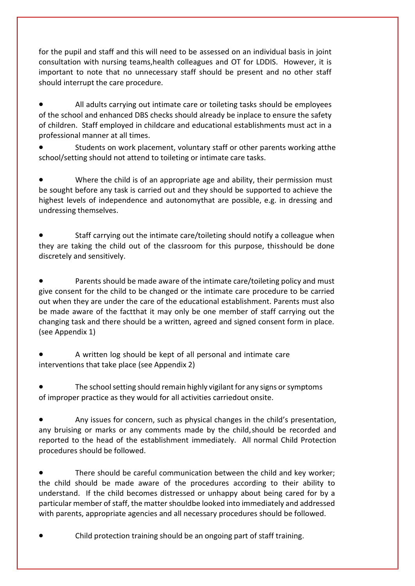for the pupil and staff and this will need to be assessed on an individual basis in joint consultation with nursing teams,health colleagues and OT for LDDIS. However, it is important to note that no unnecessary staff should be present and no other staff should interrupt the care procedure.

• All adults carrying out intimate care or toileting tasks should be employees of the school and enhanced DBS checks should already be inplace to ensure the safety of children. Staff employed in childcare and educational establishments must act in a professional manner at all times.

• Students on work placement, voluntary staff or other parents working atthe school/setting should not attend to toileting or intimate care tasks.

• Where the child is of an appropriate age and ability, their permission must be sought before any task is carried out and they should be supported to achieve the highest levels of independence and autonomythat are possible, e.g. in dressing and undressing themselves.

• Staff carrying out the intimate care/toileting should notify a colleague when they are taking the child out of the classroom for this purpose, thisshould be done discretely and sensitively.

• Parents should be made aware of the intimate care/toileting policy and must give consent for the child to be changed or the intimate care procedure to be carried out when they are under the care of the educational establishment. Parents must also be made aware of the factthat it may only be one member of staff carrying out the changing task and there should be a written, agreed and signed consent form in place. (see Appendix 1)

• A written log should be kept of all personal and intimate care interventions that take place (see Appendix 2)

• The school setting should remain highly vigilant for any signs or symptoms of improper practice as they would for all activities carriedout onsite.

• Any issues for concern, such as physical changes in the child's presentation, any bruising or marks or any comments made by the child,should be recorded and reported to the head of the establishment immediately. All normal Child Protection procedures should be followed.

• There should be careful communication between the child and key worker; the child should be made aware of the procedures according to their ability to understand. If the child becomes distressed or unhappy about being cared for by a particular member of staff, the matter shouldbe looked into immediately and addressed with parents, appropriate agencies and all necessary procedures should be followed.

• Child protection training should be an ongoing part of staff training.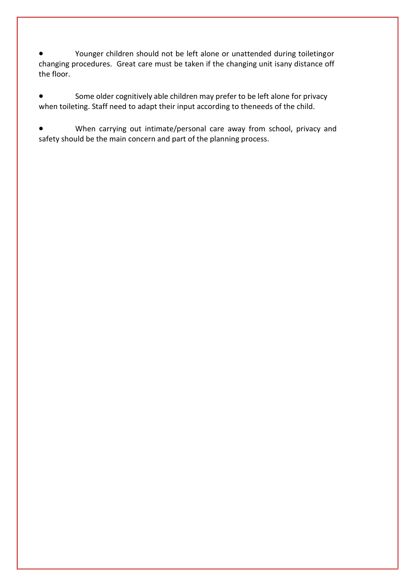• Younger children should not be left alone or unattended during toiletingor changing procedures. Great care must be taken if the changing unit isany distance off the floor.

Some older cognitively able children may prefer to be left alone for privacy when toileting. Staff need to adapt their input according to theneeds of the child.

• When carrying out intimate/personal care away from school, privacy and safety should be the main concern and part of the planning process.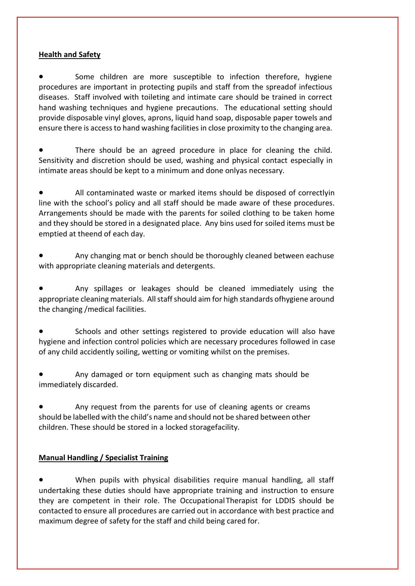#### **Health and Safety**

Some children are more susceptible to infection therefore, hygiene procedures are important in protecting pupils and staff from the spreadof infectious diseases. Staff involved with toileting and intimate care should be trained in correct hand washing techniques and hygiene precautions. The educational setting should provide disposable vinyl gloves, aprons, liquid hand soap, disposable paper towels and ensure there is access to hand washing facilities in close proximity to the changing area.

There should be an agreed procedure in place for cleaning the child. Sensitivity and discretion should be used, washing and physical contact especially in intimate areas should be kept to a minimum and done onlyas necessary.

• All contaminated waste or marked items should be disposed of correctlyin line with the school's policy and all staff should be made aware of these procedures. Arrangements should be made with the parents for soiled clothing to be taken home and they should be stored in a designated place. Any bins used for soiled items must be emptied at theend of each day.

• Any changing mat or bench should be thoroughly cleaned between eachuse with appropriate cleaning materials and detergents.

• Any spillages or leakages should be cleaned immediately using the appropriate cleaning materials. All staff should aim for high standards ofhygiene around the changing /medical facilities.

• Schools and other settings registered to provide education will also have hygiene and infection control policies which are necessary procedures followed in case of any child accidently soiling, wetting or vomiting whilst on the premises.

• Any damaged or torn equipment such as changing mats should be immediately discarded.

Any request from the parents for use of cleaning agents or creams should be labelled with the child's name and should not be shared between other children. These should be stored in a locked storagefacility.

# **Manual Handling / Specialist Training**

When pupils with physical disabilities require manual handling, all staff undertaking these duties should have appropriate training and instruction to ensure they are competent in their role. The Occupational Therapist for LDDIS should be contacted to ensure all procedures are carried out in accordance with best practice and maximum degree of safety for the staff and child being cared for.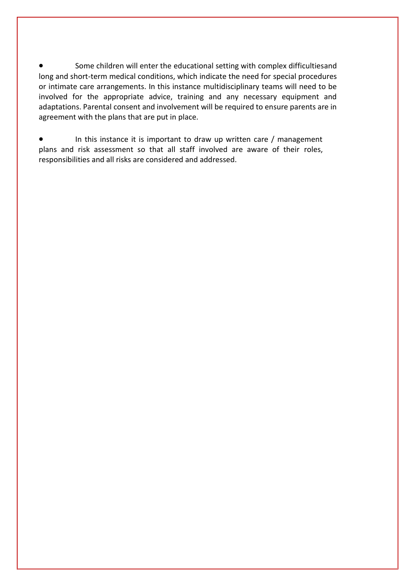Some children will enter the educational setting with complex difficultiesand long and short-term medical conditions, which indicate the need for special procedures or intimate care arrangements. In this instance multidisciplinary teams will need to be involved for the appropriate advice, training and any necessary equipment and adaptations. Parental consent and involvement will be required to ensure parents are in agreement with the plans that are put in place.

• In this instance it is important to draw up written care / management plans and risk assessment so that all staff involved are aware of their roles, responsibilities and all risks are considered and addressed.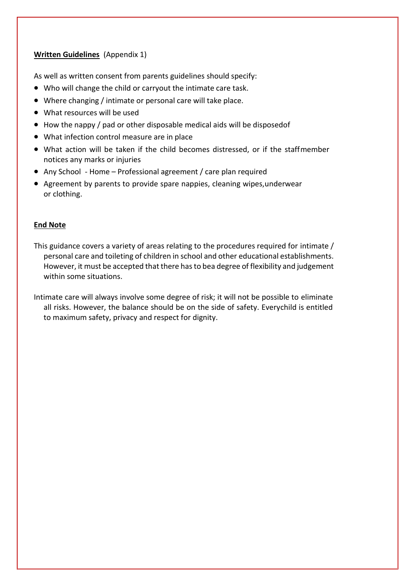#### **Written Guidelines** (Appendix 1)

As well as written consent from parents guidelines should specify:

- Who will change the child or carryout the intimate care task.
- Where changing / intimate or personal care will take place.
- What resources will be used
- How the nappy / pad or other disposable medical aids will be disposedof
- What infection control measure are in place
- What action will be taken if the child becomes distressed, or if the staffmember notices any marks or injuries
- Any School Home Professional agreement / care plan required
- Agreement by parents to provide spare nappies, cleaning wipes,underwear or clothing.

#### **End Note**

- This guidance covers a variety of areas relating to the procedures required for intimate / personal care and toileting of children in school and other educational establishments. However, it must be accepted that there has to bea degree of flexibility and judgement within some situations.
- Intimate care will always involve some degree of risk; it will not be possible to eliminate all risks. However, the balance should be on the side of safety. Everychild is entitled to maximum safety, privacy and respect for dignity.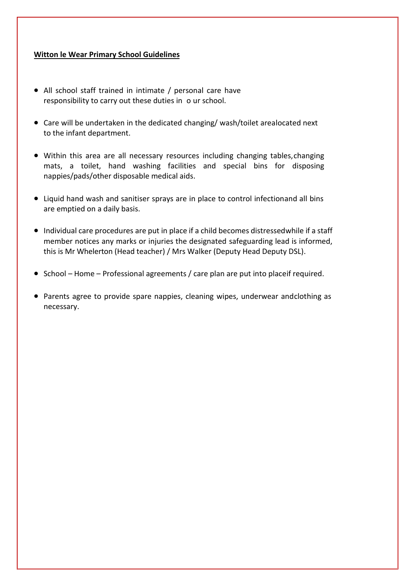#### **Witton le Wear Primary School Guidelines**

- All school staff trained in intimate / personal care have responsibility to carry out these duties in o ur school.
- Care will be undertaken in the dedicated changing/ wash/toilet arealocated next to the infant department.
- Within this area are all necessary resources including changing tables,changing mats, a toilet, hand washing facilities and special bins for disposing nappies/pads/other disposable medical aids.
- Liquid hand wash and sanitiser sprays are in place to control infectionand all bins are emptied on a daily basis.
- Individual care procedures are put in place if a child becomes distressedwhile if a staff member notices any marks or injuries the designated safeguarding lead is informed, this is Mr Whelerton (Head teacher) / Mrs Walker (Deputy Head Deputy DSL).
- School Home Professional agreements / care plan are put into placeif required.
- Parents agree to provide spare nappies, cleaning wipes, underwear andclothing as necessary.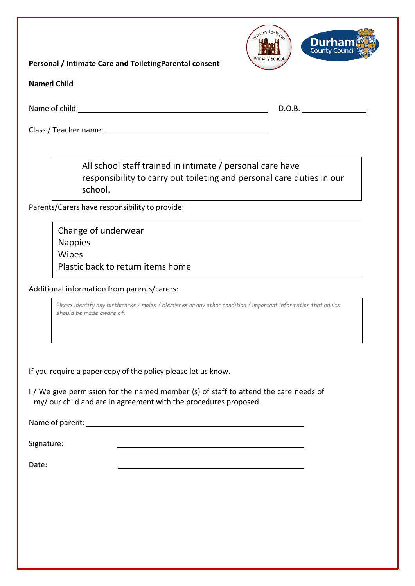**Personal / Intimate Care and ToiletingParental consent**



**Named Child**

Name of child: D.O.B. D.O.B.

Class / Teacher name: \_\_\_\_\_\_\_\_\_\_\_\_

All school staff trained in intimate / personal care have responsibility to carry out toileting and personal care duties in our school.

Parents/Carers have responsibility to provide:

Change of underwear Nappies Wipes Plastic back to return items home

Additional information from parents/carers:

Please identify any birthmarks / moles / blemishes or any other condition / important information that adults *should be made aware of.*

If you require a paper copy of the policy please let us know.

I / We give permission for the named member (s) of staff to attend the care needs of my/ our child and are in agreement with the procedures proposed.

Name of parent:

Signature:

Date: